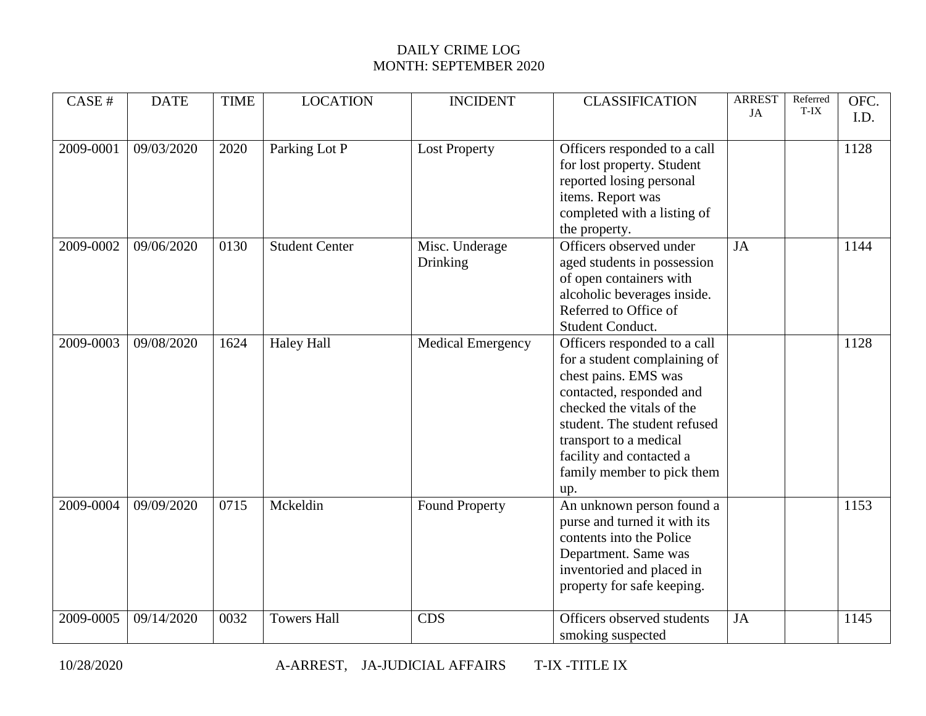| CASE#     | <b>DATE</b> | <b>TIME</b>       | <b>LOCATION</b>       | <b>INCIDENT</b>          | <b>CLASSIFICATION</b>                                      | <b>ARREST</b><br>JA | Referred<br>T-IX | OFC.<br>I.D. |
|-----------|-------------|-------------------|-----------------------|--------------------------|------------------------------------------------------------|---------------------|------------------|--------------|
|           |             |                   |                       |                          |                                                            |                     |                  |              |
| 2009-0001 | 09/03/2020  | 2020              | Parking Lot P         | <b>Lost Property</b>     | Officers responded to a call<br>for lost property. Student |                     |                  | 1128         |
|           |             |                   |                       |                          | reported losing personal                                   |                     |                  |              |
|           |             |                   |                       |                          | items. Report was<br>completed with a listing of           |                     |                  |              |
|           |             |                   |                       |                          | the property.                                              |                     |                  |              |
| 2009-0002 | 09/06/2020  | 0130              | <b>Student Center</b> | Misc. Underage           | Officers observed under                                    | JA                  |                  | 1144         |
|           |             |                   |                       | Drinking                 | aged students in possession<br>of open containers with     |                     |                  |              |
|           |             |                   |                       |                          | alcoholic beverages inside.                                |                     |                  |              |
|           |             |                   |                       |                          | Referred to Office of                                      |                     |                  |              |
|           |             |                   |                       |                          | Student Conduct.                                           |                     |                  |              |
| 2009-0003 | 09/08/2020  | 1624              | <b>Haley Hall</b>     | <b>Medical Emergency</b> | Officers responded to a call                               |                     |                  | 1128         |
|           |             |                   |                       |                          | for a student complaining of<br>chest pains. EMS was       |                     |                  |              |
|           |             |                   |                       |                          | contacted, responded and                                   |                     |                  |              |
|           |             |                   |                       |                          | checked the vitals of the                                  |                     |                  |              |
|           |             |                   |                       |                          | student. The student refused                               |                     |                  |              |
|           |             |                   |                       |                          | transport to a medical                                     |                     |                  |              |
|           |             |                   |                       |                          | facility and contacted a                                   |                     |                  |              |
|           |             |                   |                       |                          | family member to pick them<br>up.                          |                     |                  |              |
| 2009-0004 | 09/09/2020  | $\overline{0715}$ | Mckeldin              | Found Property           | An unknown person found a                                  |                     |                  | 1153         |
|           |             |                   |                       |                          | purse and turned it with its                               |                     |                  |              |
|           |             |                   |                       |                          | contents into the Police                                   |                     |                  |              |
|           |             |                   |                       |                          | Department. Same was                                       |                     |                  |              |
|           |             |                   |                       |                          | inventoried and placed in<br>property for safe keeping.    |                     |                  |              |
|           |             |                   |                       |                          |                                                            |                     |                  |              |
| 2009-0005 | 09/14/2020  | 0032              | <b>Towers Hall</b>    | <b>CDS</b>               | Officers observed students                                 | <b>JA</b>           |                  | 1145         |
|           |             |                   |                       |                          | smoking suspected                                          |                     |                  |              |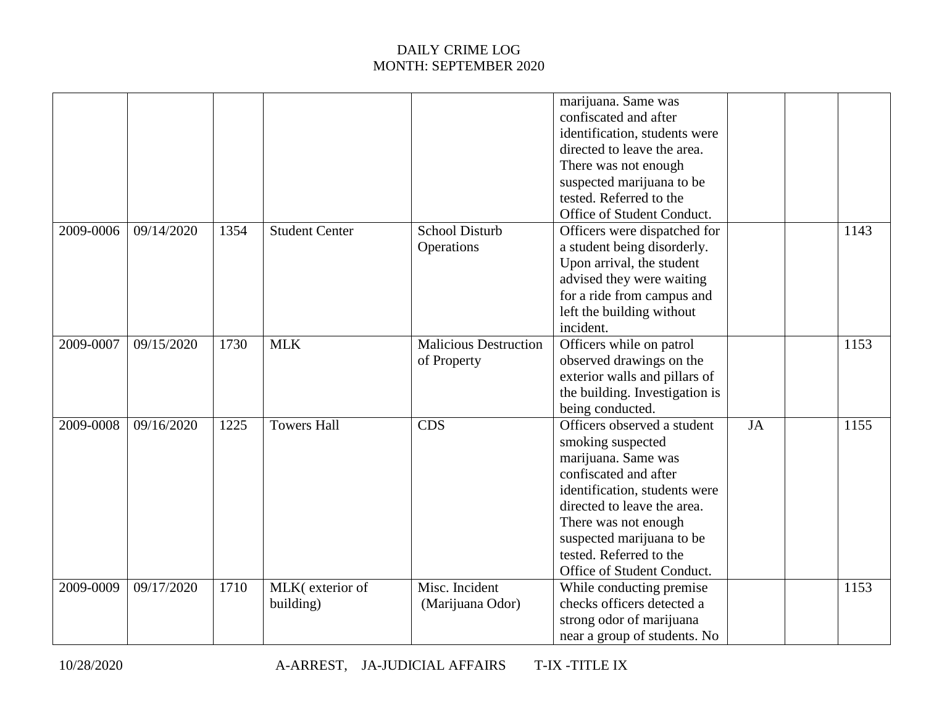| marijuana. Same was<br>confiscated and after<br>identification, students were<br>directed to leave the area.<br>There was not enough<br>suspected marijuana to be<br>tested. Referred to the<br>Office of Student Conduct.<br>2009-0006<br>09/14/2020<br>1354<br><b>School Disturb</b><br>1143<br><b>Student Center</b><br>Officers were dispatched for<br>a student being disorderly.<br>Operations<br>Upon arrival, the student<br>advised they were waiting<br>for a ride from campus and<br>left the building without<br>incident.<br>Malicious Destruction<br>2009-0007<br>09/15/2020<br>1730<br><b>MLK</b><br>Officers while on patrol<br>1153<br>observed drawings on the<br>of Property<br>exterior walls and pillars of<br>the building. Investigation is<br>being conducted.<br>Towers Hall<br>$\overline{CDS}$<br>Officers observed a student<br>2009-0008<br>09/16/2020<br>1225<br>JA<br>1155<br>smoking suspected<br>marijuana. Same was<br>confiscated and after<br>identification, students were<br>directed to leave the area.<br>There was not enough<br>suspected marijuana to be<br>tested. Referred to the<br>Office of Student Conduct.<br>Misc. Incident<br>2009-0009<br>09/17/2020<br>1710<br>MLK(exterior of<br>While conducting premise<br>1153<br>checks officers detected a<br>building)<br>(Marijuana Odor)<br>strong odor of marijuana<br>near a group of students. No |  |  |  |  |  |
|-----------------------------------------------------------------------------------------------------------------------------------------------------------------------------------------------------------------------------------------------------------------------------------------------------------------------------------------------------------------------------------------------------------------------------------------------------------------------------------------------------------------------------------------------------------------------------------------------------------------------------------------------------------------------------------------------------------------------------------------------------------------------------------------------------------------------------------------------------------------------------------------------------------------------------------------------------------------------------------------------------------------------------------------------------------------------------------------------------------------------------------------------------------------------------------------------------------------------------------------------------------------------------------------------------------------------------------------------------------------------------------------------------|--|--|--|--|--|
|                                                                                                                                                                                                                                                                                                                                                                                                                                                                                                                                                                                                                                                                                                                                                                                                                                                                                                                                                                                                                                                                                                                                                                                                                                                                                                                                                                                                     |  |  |  |  |  |
|                                                                                                                                                                                                                                                                                                                                                                                                                                                                                                                                                                                                                                                                                                                                                                                                                                                                                                                                                                                                                                                                                                                                                                                                                                                                                                                                                                                                     |  |  |  |  |  |
|                                                                                                                                                                                                                                                                                                                                                                                                                                                                                                                                                                                                                                                                                                                                                                                                                                                                                                                                                                                                                                                                                                                                                                                                                                                                                                                                                                                                     |  |  |  |  |  |
|                                                                                                                                                                                                                                                                                                                                                                                                                                                                                                                                                                                                                                                                                                                                                                                                                                                                                                                                                                                                                                                                                                                                                                                                                                                                                                                                                                                                     |  |  |  |  |  |
|                                                                                                                                                                                                                                                                                                                                                                                                                                                                                                                                                                                                                                                                                                                                                                                                                                                                                                                                                                                                                                                                                                                                                                                                                                                                                                                                                                                                     |  |  |  |  |  |
|                                                                                                                                                                                                                                                                                                                                                                                                                                                                                                                                                                                                                                                                                                                                                                                                                                                                                                                                                                                                                                                                                                                                                                                                                                                                                                                                                                                                     |  |  |  |  |  |
|                                                                                                                                                                                                                                                                                                                                                                                                                                                                                                                                                                                                                                                                                                                                                                                                                                                                                                                                                                                                                                                                                                                                                                                                                                                                                                                                                                                                     |  |  |  |  |  |
|                                                                                                                                                                                                                                                                                                                                                                                                                                                                                                                                                                                                                                                                                                                                                                                                                                                                                                                                                                                                                                                                                                                                                                                                                                                                                                                                                                                                     |  |  |  |  |  |
|                                                                                                                                                                                                                                                                                                                                                                                                                                                                                                                                                                                                                                                                                                                                                                                                                                                                                                                                                                                                                                                                                                                                                                                                                                                                                                                                                                                                     |  |  |  |  |  |
|                                                                                                                                                                                                                                                                                                                                                                                                                                                                                                                                                                                                                                                                                                                                                                                                                                                                                                                                                                                                                                                                                                                                                                                                                                                                                                                                                                                                     |  |  |  |  |  |
|                                                                                                                                                                                                                                                                                                                                                                                                                                                                                                                                                                                                                                                                                                                                                                                                                                                                                                                                                                                                                                                                                                                                                                                                                                                                                                                                                                                                     |  |  |  |  |  |
|                                                                                                                                                                                                                                                                                                                                                                                                                                                                                                                                                                                                                                                                                                                                                                                                                                                                                                                                                                                                                                                                                                                                                                                                                                                                                                                                                                                                     |  |  |  |  |  |
|                                                                                                                                                                                                                                                                                                                                                                                                                                                                                                                                                                                                                                                                                                                                                                                                                                                                                                                                                                                                                                                                                                                                                                                                                                                                                                                                                                                                     |  |  |  |  |  |
|                                                                                                                                                                                                                                                                                                                                                                                                                                                                                                                                                                                                                                                                                                                                                                                                                                                                                                                                                                                                                                                                                                                                                                                                                                                                                                                                                                                                     |  |  |  |  |  |
|                                                                                                                                                                                                                                                                                                                                                                                                                                                                                                                                                                                                                                                                                                                                                                                                                                                                                                                                                                                                                                                                                                                                                                                                                                                                                                                                                                                                     |  |  |  |  |  |
|                                                                                                                                                                                                                                                                                                                                                                                                                                                                                                                                                                                                                                                                                                                                                                                                                                                                                                                                                                                                                                                                                                                                                                                                                                                                                                                                                                                                     |  |  |  |  |  |
|                                                                                                                                                                                                                                                                                                                                                                                                                                                                                                                                                                                                                                                                                                                                                                                                                                                                                                                                                                                                                                                                                                                                                                                                                                                                                                                                                                                                     |  |  |  |  |  |
|                                                                                                                                                                                                                                                                                                                                                                                                                                                                                                                                                                                                                                                                                                                                                                                                                                                                                                                                                                                                                                                                                                                                                                                                                                                                                                                                                                                                     |  |  |  |  |  |
|                                                                                                                                                                                                                                                                                                                                                                                                                                                                                                                                                                                                                                                                                                                                                                                                                                                                                                                                                                                                                                                                                                                                                                                                                                                                                                                                                                                                     |  |  |  |  |  |
|                                                                                                                                                                                                                                                                                                                                                                                                                                                                                                                                                                                                                                                                                                                                                                                                                                                                                                                                                                                                                                                                                                                                                                                                                                                                                                                                                                                                     |  |  |  |  |  |
|                                                                                                                                                                                                                                                                                                                                                                                                                                                                                                                                                                                                                                                                                                                                                                                                                                                                                                                                                                                                                                                                                                                                                                                                                                                                                                                                                                                                     |  |  |  |  |  |
|                                                                                                                                                                                                                                                                                                                                                                                                                                                                                                                                                                                                                                                                                                                                                                                                                                                                                                                                                                                                                                                                                                                                                                                                                                                                                                                                                                                                     |  |  |  |  |  |
|                                                                                                                                                                                                                                                                                                                                                                                                                                                                                                                                                                                                                                                                                                                                                                                                                                                                                                                                                                                                                                                                                                                                                                                                                                                                                                                                                                                                     |  |  |  |  |  |
|                                                                                                                                                                                                                                                                                                                                                                                                                                                                                                                                                                                                                                                                                                                                                                                                                                                                                                                                                                                                                                                                                                                                                                                                                                                                                                                                                                                                     |  |  |  |  |  |
|                                                                                                                                                                                                                                                                                                                                                                                                                                                                                                                                                                                                                                                                                                                                                                                                                                                                                                                                                                                                                                                                                                                                                                                                                                                                                                                                                                                                     |  |  |  |  |  |
|                                                                                                                                                                                                                                                                                                                                                                                                                                                                                                                                                                                                                                                                                                                                                                                                                                                                                                                                                                                                                                                                                                                                                                                                                                                                                                                                                                                                     |  |  |  |  |  |
|                                                                                                                                                                                                                                                                                                                                                                                                                                                                                                                                                                                                                                                                                                                                                                                                                                                                                                                                                                                                                                                                                                                                                                                                                                                                                                                                                                                                     |  |  |  |  |  |
|                                                                                                                                                                                                                                                                                                                                                                                                                                                                                                                                                                                                                                                                                                                                                                                                                                                                                                                                                                                                                                                                                                                                                                                                                                                                                                                                                                                                     |  |  |  |  |  |
|                                                                                                                                                                                                                                                                                                                                                                                                                                                                                                                                                                                                                                                                                                                                                                                                                                                                                                                                                                                                                                                                                                                                                                                                                                                                                                                                                                                                     |  |  |  |  |  |
|                                                                                                                                                                                                                                                                                                                                                                                                                                                                                                                                                                                                                                                                                                                                                                                                                                                                                                                                                                                                                                                                                                                                                                                                                                                                                                                                                                                                     |  |  |  |  |  |
|                                                                                                                                                                                                                                                                                                                                                                                                                                                                                                                                                                                                                                                                                                                                                                                                                                                                                                                                                                                                                                                                                                                                                                                                                                                                                                                                                                                                     |  |  |  |  |  |
|                                                                                                                                                                                                                                                                                                                                                                                                                                                                                                                                                                                                                                                                                                                                                                                                                                                                                                                                                                                                                                                                                                                                                                                                                                                                                                                                                                                                     |  |  |  |  |  |
|                                                                                                                                                                                                                                                                                                                                                                                                                                                                                                                                                                                                                                                                                                                                                                                                                                                                                                                                                                                                                                                                                                                                                                                                                                                                                                                                                                                                     |  |  |  |  |  |
|                                                                                                                                                                                                                                                                                                                                                                                                                                                                                                                                                                                                                                                                                                                                                                                                                                                                                                                                                                                                                                                                                                                                                                                                                                                                                                                                                                                                     |  |  |  |  |  |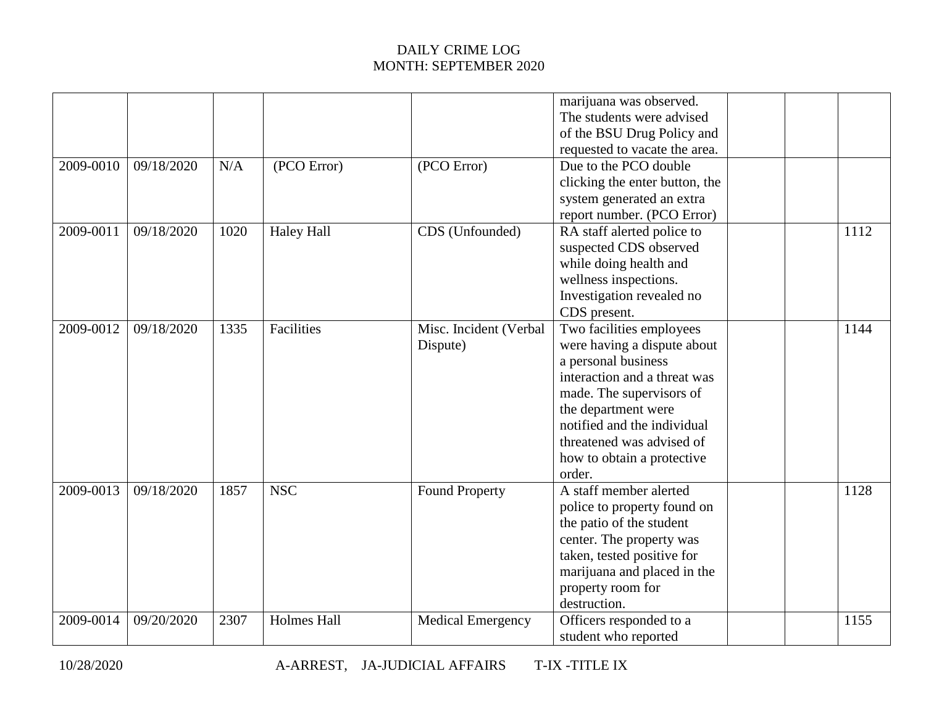|           |            |      |                    |                          | marijuana was observed.        |  |      |
|-----------|------------|------|--------------------|--------------------------|--------------------------------|--|------|
|           |            |      |                    |                          | The students were advised      |  |      |
|           |            |      |                    |                          | of the BSU Drug Policy and     |  |      |
|           |            |      |                    |                          | requested to vacate the area.  |  |      |
| 2009-0010 | 09/18/2020 | N/A  | (PCO Error)        | (PCO Error)              | Due to the PCO double          |  |      |
|           |            |      |                    |                          | clicking the enter button, the |  |      |
|           |            |      |                    |                          | system generated an extra      |  |      |
|           |            |      |                    |                          | report number. (PCO Error)     |  |      |
| 2009-0011 | 09/18/2020 | 1020 | <b>Haley Hall</b>  | CDS (Unfounded)          | RA staff alerted police to     |  | 1112 |
|           |            |      |                    |                          | suspected CDS observed         |  |      |
|           |            |      |                    |                          | while doing health and         |  |      |
|           |            |      |                    |                          | wellness inspections.          |  |      |
|           |            |      |                    |                          | Investigation revealed no      |  |      |
|           |            |      |                    |                          | CDS present.                   |  |      |
| 2009-0012 | 09/18/2020 | 1335 | Facilities         | Misc. Incident (Verbal   | Two facilities employees       |  | 1144 |
|           |            |      |                    | Dispute)                 | were having a dispute about    |  |      |
|           |            |      |                    |                          | a personal business            |  |      |
|           |            |      |                    |                          | interaction and a threat was   |  |      |
|           |            |      |                    |                          | made. The supervisors of       |  |      |
|           |            |      |                    |                          | the department were            |  |      |
|           |            |      |                    |                          | notified and the individual    |  |      |
|           |            |      |                    |                          | threatened was advised of      |  |      |
|           |            |      |                    |                          | how to obtain a protective     |  |      |
|           |            |      |                    |                          | order.                         |  |      |
| 2009-0013 | 09/18/2020 | 1857 | <b>NSC</b>         | <b>Found Property</b>    | A staff member alerted         |  | 1128 |
|           |            |      |                    |                          | police to property found on    |  |      |
|           |            |      |                    |                          | the patio of the student       |  |      |
|           |            |      |                    |                          | center. The property was       |  |      |
|           |            |      |                    |                          | taken, tested positive for     |  |      |
|           |            |      |                    |                          | marijuana and placed in the    |  |      |
|           |            |      |                    |                          | property room for              |  |      |
|           |            |      |                    |                          | destruction.                   |  |      |
| 2009-0014 | 09/20/2020 | 2307 | <b>Holmes Hall</b> | <b>Medical Emergency</b> | Officers responded to a        |  | 1155 |
|           |            |      |                    |                          | student who reported           |  |      |
|           |            |      |                    |                          |                                |  |      |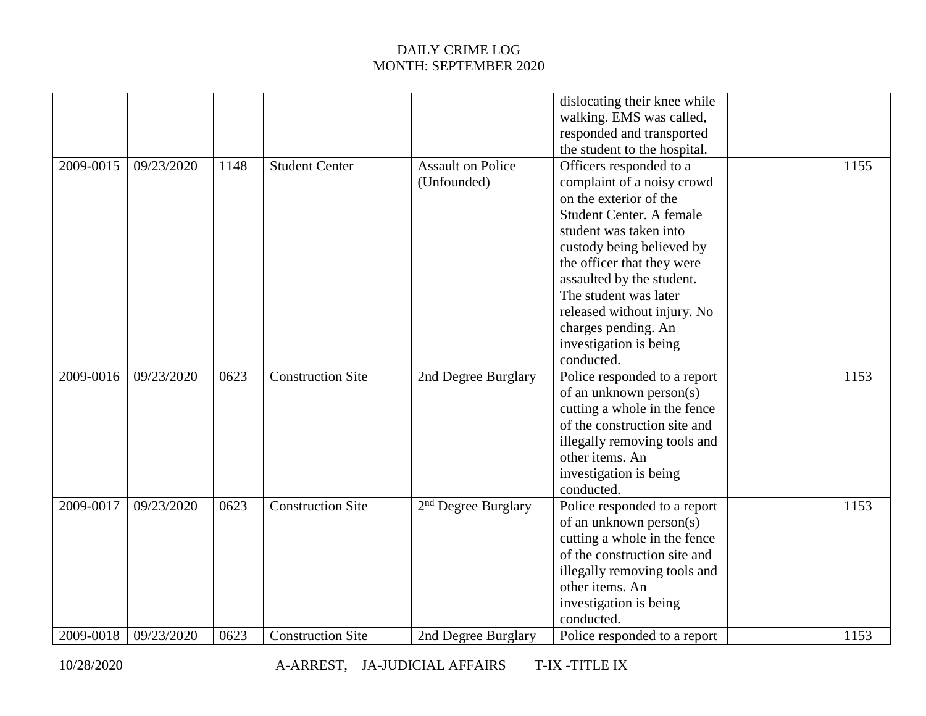|                        |                          |              |                                                      |                                              | dislocating their knee while<br>walking. EMS was called,<br>responded and transported<br>the student to the hospital.                                                                                                                                                                                                                                |              |
|------------------------|--------------------------|--------------|------------------------------------------------------|----------------------------------------------|------------------------------------------------------------------------------------------------------------------------------------------------------------------------------------------------------------------------------------------------------------------------------------------------------------------------------------------------------|--------------|
| 2009-0015              | 09/23/2020               | 1148         | <b>Student Center</b>                                | <b>Assault on Police</b><br>(Unfounded)      | Officers responded to a<br>complaint of a noisy crowd<br>on the exterior of the<br>Student Center. A female<br>student was taken into<br>custody being believed by<br>the officer that they were<br>assaulted by the student.<br>The student was later<br>released without injury. No<br>charges pending. An<br>investigation is being<br>conducted. | 1155         |
| 2009-0016              | 09/23/2020               | 0623         | <b>Construction Site</b>                             | 2nd Degree Burglary                          | Police responded to a report<br>of an unknown person(s)<br>cutting a whole in the fence<br>of the construction site and<br>illegally removing tools and<br>other items. An<br>investigation is being<br>conducted.                                                                                                                                   | 1153         |
| 2009-0017<br>2009-0018 | 09/23/2020<br>09/23/2020 | 0623<br>0623 | <b>Construction Site</b><br><b>Construction Site</b> | $2nd$ Degree Burglary<br>2nd Degree Burglary | Police responded to a report<br>of an unknown person(s)<br>cutting a whole in the fence<br>of the construction site and<br>illegally removing tools and<br>other items. An<br>investigation is being<br>conducted.<br>Police responded to a report                                                                                                   | 1153<br>1153 |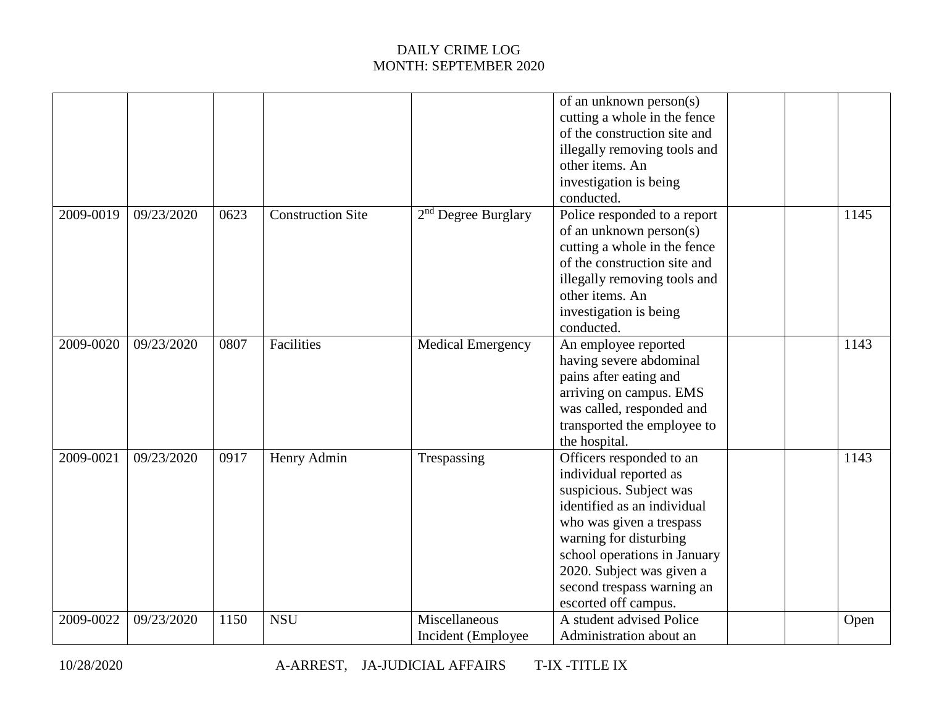|           |            |      |                          |                                     | of an unknown person(s)<br>cutting a whole in the fence<br>of the construction site and<br>illegally removing tools and<br>other items. An                                                                                                                                            |  |      |
|-----------|------------|------|--------------------------|-------------------------------------|---------------------------------------------------------------------------------------------------------------------------------------------------------------------------------------------------------------------------------------------------------------------------------------|--|------|
|           |            |      |                          |                                     | investigation is being<br>conducted.                                                                                                                                                                                                                                                  |  |      |
| 2009-0019 | 09/23/2020 | 0623 | <b>Construction Site</b> | $2nd$ Degree Burglary               | Police responded to a report<br>of an unknown person(s)<br>cutting a whole in the fence<br>of the construction site and<br>illegally removing tools and<br>other items. An<br>investigation is being<br>conducted.                                                                    |  | 1145 |
| 2009-0020 | 09/23/2020 | 0807 | Facilities               | <b>Medical Emergency</b>            | An employee reported<br>having severe abdominal<br>pains after eating and<br>arriving on campus. EMS<br>was called, responded and<br>transported the employee to<br>the hospital.                                                                                                     |  | 1143 |
| 2009-0021 | 09/23/2020 | 0917 | Henry Admin              | Trespassing                         | Officers responded to an<br>individual reported as<br>suspicious. Subject was<br>identified as an individual<br>who was given a trespass<br>warning for disturbing<br>school operations in January<br>2020. Subject was given a<br>second trespass warning an<br>escorted off campus. |  | 1143 |
| 2009-0022 | 09/23/2020 | 1150 | <b>NSU</b>               | Miscellaneous<br>Incident (Employee | A student advised Police<br>Administration about an                                                                                                                                                                                                                                   |  | Open |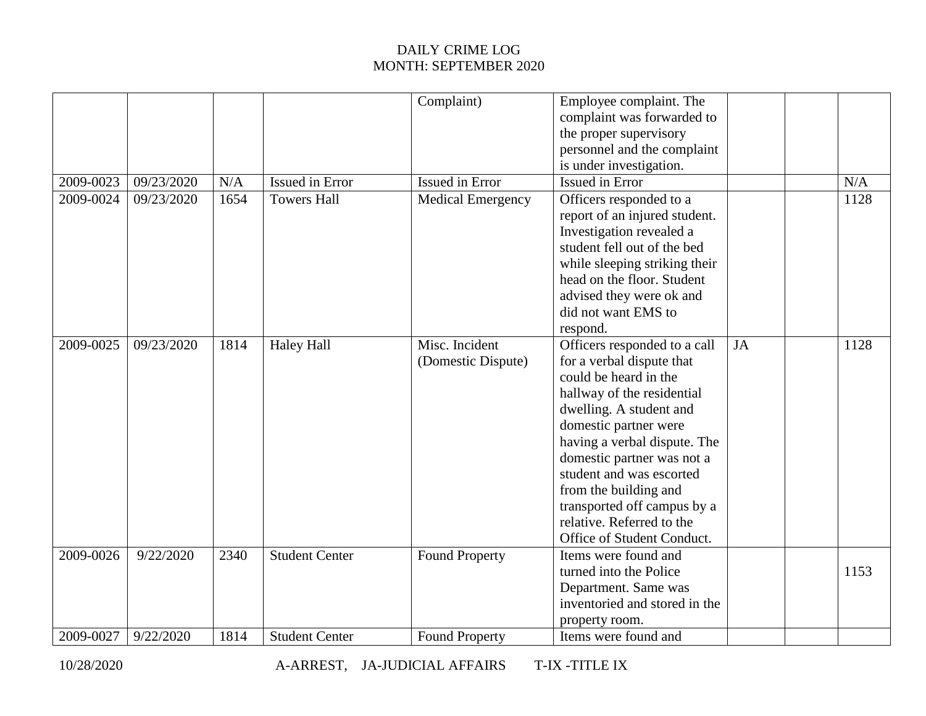|           |            |      |                       | Complaint)                           | Employee complaint. The<br>complaint was forwarded to<br>the proper supervisory<br>personnel and the complaint<br>is under investigation.                                                                                                                                                                                                                                         |           |      |
|-----------|------------|------|-----------------------|--------------------------------------|-----------------------------------------------------------------------------------------------------------------------------------------------------------------------------------------------------------------------------------------------------------------------------------------------------------------------------------------------------------------------------------|-----------|------|
| 2009-0023 | 09/23/2020 | N/A  | Issued in Error       | <b>Issued in Error</b>               | Issued in Error                                                                                                                                                                                                                                                                                                                                                                   |           | N/A  |
| 2009-0024 | 09/23/2020 | 1654 | <b>Towers Hall</b>    | <b>Medical Emergency</b>             | Officers responded to a<br>report of an injured student.<br>Investigation revealed a<br>student fell out of the bed<br>while sleeping striking their<br>head on the floor. Student<br>advised they were ok and<br>did not want EMS to<br>respond.                                                                                                                                 |           | 1128 |
| 2009-0025 | 09/23/2020 | 1814 | <b>Haley Hall</b>     | Misc. Incident<br>(Domestic Dispute) | Officers responded to a call<br>for a verbal dispute that<br>could be heard in the<br>hallway of the residential<br>dwelling. A student and<br>domestic partner were<br>having a verbal dispute. The<br>domestic partner was not a<br>student and was escorted<br>from the building and<br>transported off campus by a<br>relative. Referred to the<br>Office of Student Conduct. | <b>JA</b> | 1128 |
| 2009-0026 | 9/22/2020  | 2340 | <b>Student Center</b> | <b>Found Property</b>                | Items were found and<br>turned into the Police<br>Department. Same was<br>inventoried and stored in the<br>property room.                                                                                                                                                                                                                                                         |           | 1153 |
| 2009-0027 | 9/22/2020  | 1814 | <b>Student Center</b> | <b>Found Property</b>                | Items were found and                                                                                                                                                                                                                                                                                                                                                              |           |      |